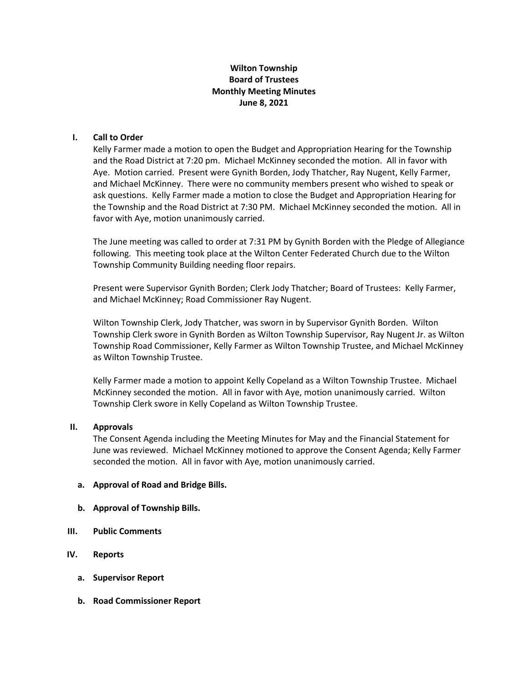# **Wilton Township Board of Trustees Monthly Meeting Minutes June 8, 2021**

## **I. Call to Order**

Kelly Farmer made a motion to open the Budget and Appropriation Hearing for the Township and the Road District at 7:20 pm. Michael McKinney seconded the motion. All in favor with Aye. Motion carried. Present were Gynith Borden, Jody Thatcher, Ray Nugent, Kelly Farmer, and Michael McKinney. There were no community members present who wished to speak or ask questions. Kelly Farmer made a motion to close the Budget and Appropriation Hearing for the Township and the Road District at 7:30 PM. Michael McKinney seconded the motion. All in favor with Aye, motion unanimously carried.

The June meeting was called to order at 7:31 PM by Gynith Borden with the Pledge of Allegiance following. This meeting took place at the Wilton Center Federated Church due to the Wilton Township Community Building needing floor repairs.

Present were Supervisor Gynith Borden; Clerk Jody Thatcher; Board of Trustees: Kelly Farmer, and Michael McKinney; Road Commissioner Ray Nugent.

Wilton Township Clerk, Jody Thatcher, was sworn in by Supervisor Gynith Borden. Wilton Township Clerk swore in Gynith Borden as Wilton Township Supervisor, Ray Nugent Jr. as Wilton Township Road Commissioner, Kelly Farmer as Wilton Township Trustee, and Michael McKinney as Wilton Township Trustee.

Kelly Farmer made a motion to appoint Kelly Copeland as a Wilton Township Trustee. Michael McKinney seconded the motion. All in favor with Aye, motion unanimously carried. Wilton Township Clerk swore in Kelly Copeland as Wilton Township Trustee.

#### **II. Approvals**

The Consent Agenda including the Meeting Minutes for May and the Financial Statement for June was reviewed. Michael McKinney motioned to approve the Consent Agenda; Kelly Farmer seconded the motion. All in favor with Aye, motion unanimously carried.

#### **a. Approval of Road and Bridge Bills.**

- **b. Approval of Township Bills.**
- **III. Public Comments**
- **IV. Reports**
	- **a. Supervisor Report**
	- **b. Road Commissioner Report**